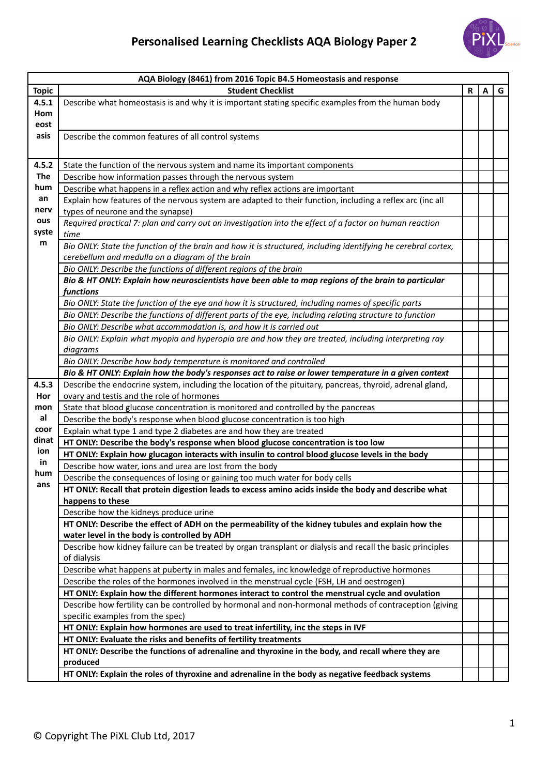

| AQA Biology (8461) from 2016 Topic B4.5 Homeostasis and response |                                                                                                                                                            |   |   |   |  |  |
|------------------------------------------------------------------|------------------------------------------------------------------------------------------------------------------------------------------------------------|---|---|---|--|--|
| <b>Topic</b>                                                     | <b>Student Checklist</b>                                                                                                                                   | R | A | G |  |  |
| 4.5.1                                                            | Describe what homeostasis is and why it is important stating specific examples from the human body                                                         |   |   |   |  |  |
| Hom                                                              |                                                                                                                                                            |   |   |   |  |  |
| eost                                                             |                                                                                                                                                            |   |   |   |  |  |
| asis                                                             | Describe the common features of all control systems                                                                                                        |   |   |   |  |  |
|                                                                  |                                                                                                                                                            |   |   |   |  |  |
| 4.5.2                                                            | State the function of the nervous system and name its important components                                                                                 |   |   |   |  |  |
| The                                                              | Describe how information passes through the nervous system                                                                                                 |   |   |   |  |  |
| hum                                                              | Describe what happens in a reflex action and why reflex actions are important                                                                              |   |   |   |  |  |
| an                                                               | Explain how features of the nervous system are adapted to their function, including a reflex arc (inc all                                                  |   |   |   |  |  |
| nerv                                                             | types of neurone and the synapse)                                                                                                                          |   |   |   |  |  |
| ous                                                              | Required practical 7: plan and carry out an investigation into the effect of a factor on human reaction                                                    |   |   |   |  |  |
| syste                                                            | time                                                                                                                                                       |   |   |   |  |  |
| m                                                                | Bio ONLY: State the function of the brain and how it is structured, including identifying he cerebral cortex,                                              |   |   |   |  |  |
|                                                                  | cerebellum and medulla on a diagram of the brain                                                                                                           |   |   |   |  |  |
|                                                                  | Bio ONLY: Describe the functions of different regions of the brain                                                                                         |   |   |   |  |  |
|                                                                  | Bio & HT ONLY: Explain how neuroscientists have been able to map regions of the brain to particular                                                        |   |   |   |  |  |
|                                                                  | functions                                                                                                                                                  |   |   |   |  |  |
|                                                                  | Bio ONLY: State the function of the eye and how it is structured, including names of specific parts                                                        |   |   |   |  |  |
|                                                                  | Bio ONLY: Describe the functions of different parts of the eye, including relating structure to function                                                   |   |   |   |  |  |
|                                                                  | Bio ONLY: Describe what accommodation is, and how it is carried out                                                                                        |   |   |   |  |  |
|                                                                  | Bio ONLY: Explain what myopia and hyperopia are and how they are treated, including interpreting ray                                                       |   |   |   |  |  |
|                                                                  | diagrams                                                                                                                                                   |   |   |   |  |  |
|                                                                  | Bio ONLY: Describe how body temperature is monitored and controlled                                                                                        |   |   |   |  |  |
|                                                                  | Bio & HT ONLY: Explain how the body's responses act to raise or lower temperature in a given context                                                       |   |   |   |  |  |
| 4.5.3                                                            | Describe the endocrine system, including the location of the pituitary, pancreas, thyroid, adrenal gland,                                                  |   |   |   |  |  |
| Hor                                                              | ovary and testis and the role of hormones                                                                                                                  |   |   |   |  |  |
| mon                                                              | State that blood glucose concentration is monitored and controlled by the pancreas                                                                         |   |   |   |  |  |
| al                                                               | Describe the body's response when blood glucose concentration is too high                                                                                  |   |   |   |  |  |
| coor                                                             | Explain what type 1 and type 2 diabetes are and how they are treated                                                                                       |   |   |   |  |  |
| dinat<br>ion                                                     | HT ONLY: Describe the body's response when blood glucose concentration is too low                                                                          |   |   |   |  |  |
| in                                                               | HT ONLY: Explain how glucagon interacts with insulin to control blood glucose levels in the body                                                           |   |   |   |  |  |
| hum                                                              | Describe how water, ions and urea are lost from the body                                                                                                   |   |   |   |  |  |
| ans                                                              | Describe the consequences of losing or gaining too much water for body cells                                                                               |   |   |   |  |  |
|                                                                  | HT ONLY: Recall that protein digestion leads to excess amino acids inside the body and describe what                                                       |   |   |   |  |  |
|                                                                  | happens to these                                                                                                                                           |   |   |   |  |  |
|                                                                  | Describe how the kidneys produce urine                                                                                                                     |   |   |   |  |  |
|                                                                  | HT ONLY: Describe the effect of ADH on the permeability of the kidney tubules and explain how the                                                          |   |   |   |  |  |
|                                                                  | water level in the body is controlled by ADH<br>Describe how kidney failure can be treated by organ transplant or dialysis and recall the basic principles |   |   |   |  |  |
|                                                                  | of dialysis                                                                                                                                                |   |   |   |  |  |
|                                                                  | Describe what happens at puberty in males and females, inc knowledge of reproductive hormones                                                              |   |   |   |  |  |
|                                                                  | Describe the roles of the hormones involved in the menstrual cycle (FSH, LH and oestrogen)                                                                 |   |   |   |  |  |
|                                                                  | HT ONLY: Explain how the different hormones interact to control the menstrual cycle and ovulation                                                          |   |   |   |  |  |
|                                                                  | Describe how fertility can be controlled by hormonal and non-hormonal methods of contraception (giving                                                     |   |   |   |  |  |
|                                                                  | specific examples from the spec)                                                                                                                           |   |   |   |  |  |
|                                                                  | HT ONLY: Explain how hormones are used to treat infertility, inc the steps in IVF                                                                          |   |   |   |  |  |
|                                                                  | HT ONLY: Evaluate the risks and benefits of fertility treatments                                                                                           |   |   |   |  |  |
|                                                                  | HT ONLY: Describe the functions of adrenaline and thyroxine in the body, and recall where they are                                                         |   |   |   |  |  |
|                                                                  | produced                                                                                                                                                   |   |   |   |  |  |
|                                                                  | HT ONLY: Explain the roles of thyroxine and adrenaline in the body as negative feedback systems                                                            |   |   |   |  |  |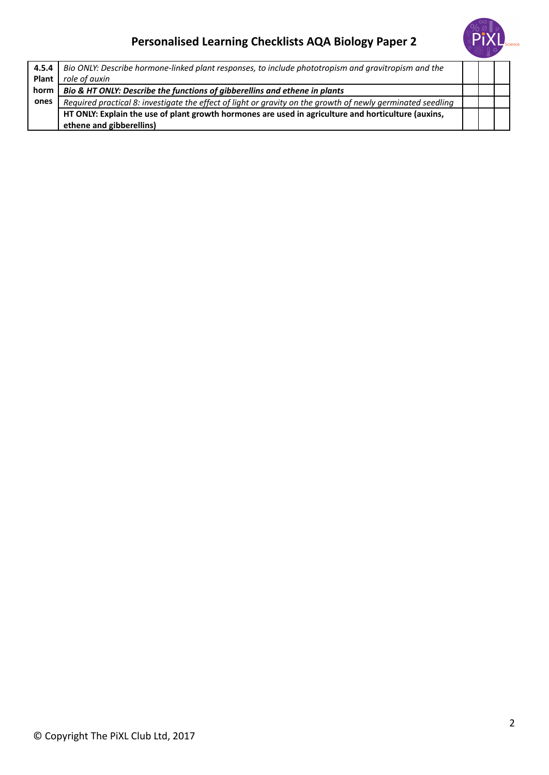## **Personalised Learning Checklists AQA Biology Paper 2**



| 4.5.4        | Bio ONLY: Describe hormone-linked plant responses, to include phototropism and gravitropism and the         |  |  |
|--------------|-------------------------------------------------------------------------------------------------------------|--|--|
| <b>Plant</b> | role of auxin                                                                                               |  |  |
| horm         | Bio & HT ONLY: Describe the functions of gibberellins and ethene in plants                                  |  |  |
| ones         | Required practical 8: investigate the effect of light or gravity on the growth of newly germinated seedling |  |  |
|              | HT ONLY: Explain the use of plant growth hormones are used in agriculture and horticulture (auxins,         |  |  |
|              | ethene and gibberellins)                                                                                    |  |  |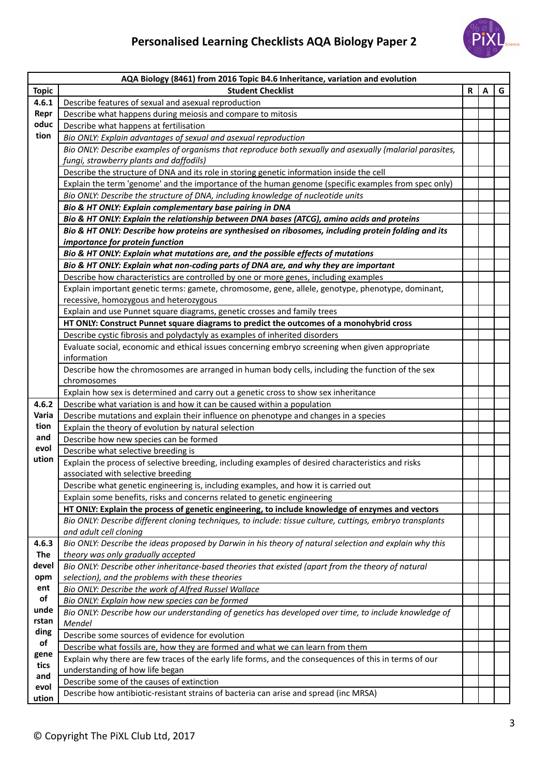

| AQA Biology (8461) from 2016 Topic B4.6 Inheritance, variation and evolution |                                                                                                                                          |   |   |   |  |  |
|------------------------------------------------------------------------------|------------------------------------------------------------------------------------------------------------------------------------------|---|---|---|--|--|
| <b>Topic</b>                                                                 | <b>Student Checklist</b>                                                                                                                 | R | A | G |  |  |
| 4.6.1                                                                        | Describe features of sexual and asexual reproduction                                                                                     |   |   |   |  |  |
| Repr                                                                         | Describe what happens during meiosis and compare to mitosis                                                                              |   |   |   |  |  |
| oduc                                                                         | Describe what happens at fertilisation                                                                                                   |   |   |   |  |  |
| tion                                                                         | Bio ONLY: Explain advantages of sexual and asexual reproduction                                                                          |   |   |   |  |  |
|                                                                              | Bio ONLY: Describe examples of organisms that reproduce both sexually and asexually (malarial parasites,                                 |   |   |   |  |  |
|                                                                              | fungi, strawberry plants and daffodils)                                                                                                  |   |   |   |  |  |
|                                                                              | Describe the structure of DNA and its role in storing genetic information inside the cell                                                |   |   |   |  |  |
|                                                                              | Explain the term 'genome' and the importance of the human genome (specific examples from spec only)                                      |   |   |   |  |  |
|                                                                              | Bio ONLY: Describe the structure of DNA, including knowledge of nucleotide units                                                         |   |   |   |  |  |
|                                                                              | Bio & HT ONLY: Explain complementary base pairing in DNA                                                                                 |   |   |   |  |  |
|                                                                              | Bio & HT ONLY: Explain the relationship between DNA bases (ATCG), amino acids and proteins                                               |   |   |   |  |  |
|                                                                              | Bio & HT ONLY: Describe how proteins are synthesised on ribosomes, including protein folding and its                                     |   |   |   |  |  |
|                                                                              | importance for protein function                                                                                                          |   |   |   |  |  |
|                                                                              | Bio & HT ONLY: Explain what mutations are, and the possible effects of mutations                                                         |   |   |   |  |  |
|                                                                              | Bio & HT ONLY: Explain what non-coding parts of DNA are, and why they are important                                                      |   |   |   |  |  |
|                                                                              | Describe how characteristics are controlled by one or more genes, including examples                                                     |   |   |   |  |  |
|                                                                              | Explain important genetic terms: gamete, chromosome, gene, allele, genotype, phenotype, dominant,                                        |   |   |   |  |  |
|                                                                              | recessive, homozygous and heterozygous                                                                                                   |   |   |   |  |  |
|                                                                              | Explain and use Punnet square diagrams, genetic crosses and family trees                                                                 |   |   |   |  |  |
|                                                                              | HT ONLY: Construct Punnet square diagrams to predict the outcomes of a monohybrid cross                                                  |   |   |   |  |  |
|                                                                              | Describe cystic fibrosis and polydactyly as examples of inherited disorders                                                              |   |   |   |  |  |
|                                                                              | Evaluate social, economic and ethical issues concerning embryo screening when given appropriate                                          |   |   |   |  |  |
|                                                                              | information                                                                                                                              |   |   |   |  |  |
|                                                                              | Describe how the chromosomes are arranged in human body cells, including the function of the sex                                         |   |   |   |  |  |
|                                                                              | chromosomes                                                                                                                              |   |   |   |  |  |
|                                                                              | Explain how sex is determined and carry out a genetic cross to show sex inheritance                                                      |   |   |   |  |  |
| 4.6.2                                                                        | Describe what variation is and how it can be caused within a population                                                                  |   |   |   |  |  |
| Varia<br>tion                                                                | Describe mutations and explain their influence on phenotype and changes in a species                                                     |   |   |   |  |  |
| and                                                                          | Explain the theory of evolution by natural selection                                                                                     |   |   |   |  |  |
| evol                                                                         | Describe how new species can be formed                                                                                                   |   |   |   |  |  |
| ution                                                                        | Describe what selective breeding is                                                                                                      |   |   |   |  |  |
|                                                                              | Explain the process of selective breeding, including examples of desired characteristics and risks<br>associated with selective breeding |   |   |   |  |  |
|                                                                              | Describe what genetic engineering is, including examples, and how it is carried out                                                      |   |   |   |  |  |
|                                                                              | Explain some benefits, risks and concerns related to genetic engineering                                                                 |   |   |   |  |  |
|                                                                              | HT ONLY: Explain the process of genetic engineering, to include knowledge of enzymes and vectors                                         |   |   |   |  |  |
|                                                                              | Bio ONLY: Describe different cloning techniques, to include: tissue culture, cuttings, embryo transplants                                |   |   |   |  |  |
|                                                                              | and adult cell cloning                                                                                                                   |   |   |   |  |  |
| 4.6.3                                                                        | Bio ONLY: Describe the ideas proposed by Darwin in his theory of natural selection and explain why this                                  |   |   |   |  |  |
| <b>The</b>                                                                   | theory was only gradually accepted                                                                                                       |   |   |   |  |  |
| devel                                                                        | Bio ONLY: Describe other inheritance-based theories that existed (apart from the theory of natural                                       |   |   |   |  |  |
| opm                                                                          | selection), and the problems with these theories                                                                                         |   |   |   |  |  |
| ent                                                                          | Bio ONLY: Describe the work of Alfred Russel Wallace                                                                                     |   |   |   |  |  |
| of                                                                           | Bio ONLY: Explain how new species can be formed                                                                                          |   |   |   |  |  |
| unde                                                                         | Bio ONLY: Describe how our understanding of genetics has developed over time, to include knowledge of                                    |   |   |   |  |  |
| rstan                                                                        | Mendel                                                                                                                                   |   |   |   |  |  |
| ding                                                                         | Describe some sources of evidence for evolution                                                                                          |   |   |   |  |  |
| of                                                                           | Describe what fossils are, how they are formed and what we can learn from them                                                           |   |   |   |  |  |
| gene                                                                         | Explain why there are few traces of the early life forms, and the consequences of this in terms of our                                   |   |   |   |  |  |
| tics<br>and                                                                  | understanding of how life began                                                                                                          |   |   |   |  |  |
| evol                                                                         | Describe some of the causes of extinction                                                                                                |   |   |   |  |  |
| ution                                                                        | Describe how antibiotic-resistant strains of bacteria can arise and spread (inc MRSA)                                                    |   |   |   |  |  |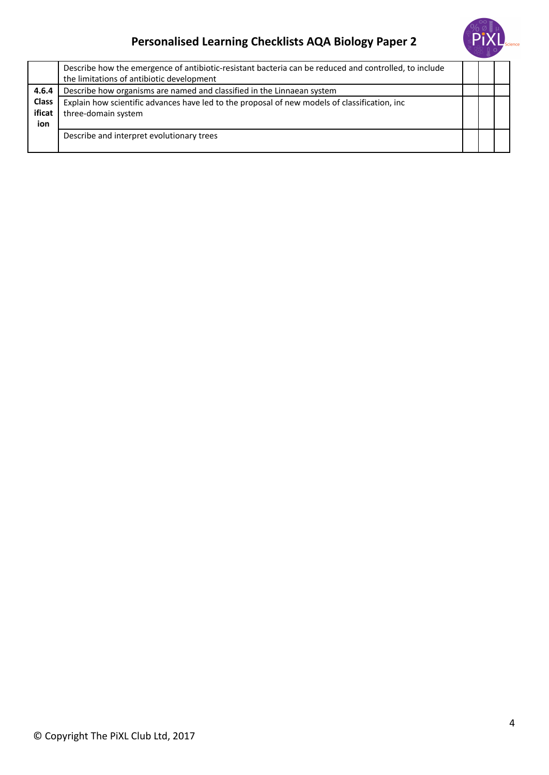## **Personalised Learning Checklists AQA Biology Paper 2**



|                               | Describe how the emergence of antibiotic-resistant bacteria can be reduced and controlled, to include<br>the limitations of antibiotic development |  |  |
|-------------------------------|----------------------------------------------------------------------------------------------------------------------------------------------------|--|--|
| 4.6.4                         | Describe how organisms are named and classified in the Linnaean system                                                                             |  |  |
| <b>Class</b><br>ificat<br>ion | Explain how scientific advances have led to the proposal of new models of classification, inc<br>three-domain system                               |  |  |
|                               | Describe and interpret evolutionary trees                                                                                                          |  |  |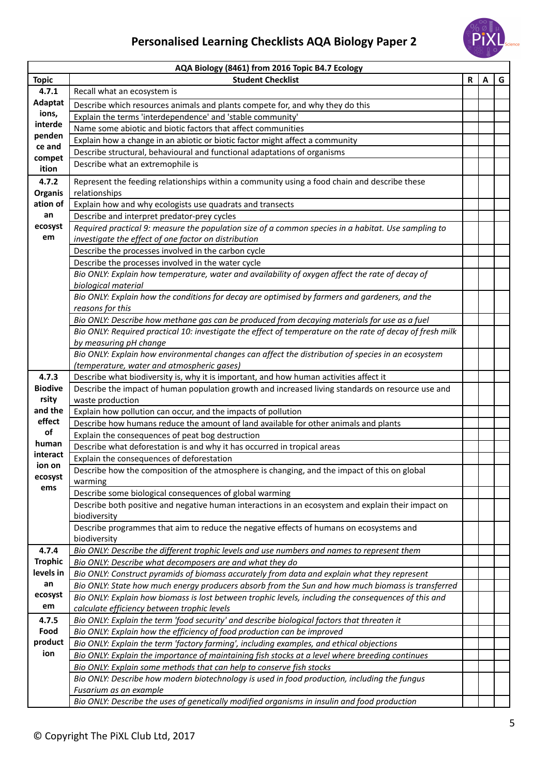## **Personalised Learning Checklists AQA Biology Paper 2**



| AQA Biology (8461) from 2016 Topic B4.7 Ecology |                                                                                                                                                                                             |              |   |   |  |  |  |
|-------------------------------------------------|---------------------------------------------------------------------------------------------------------------------------------------------------------------------------------------------|--------------|---|---|--|--|--|
| <b>Topic</b>                                    | <b>Student Checklist</b>                                                                                                                                                                    | $\mathsf{R}$ | A | G |  |  |  |
| 4.7.1                                           | Recall what an ecosystem is                                                                                                                                                                 |              |   |   |  |  |  |
| Adaptat                                         | Describe which resources animals and plants compete for, and why they do this                                                                                                               |              |   |   |  |  |  |
| ions,                                           | Explain the terms 'interdependence' and 'stable community'                                                                                                                                  |              |   |   |  |  |  |
| interde                                         | Name some abiotic and biotic factors that affect communities                                                                                                                                |              |   |   |  |  |  |
| penden                                          | Explain how a change in an abiotic or biotic factor might affect a community                                                                                                                |              |   |   |  |  |  |
| ce and<br>compet                                | Describe structural, behavioural and functional adaptations of organisms                                                                                                                    |              |   |   |  |  |  |
| ition                                           | Describe what an extremophile is                                                                                                                                                            |              |   |   |  |  |  |
| 4.7.2                                           | Represent the feeding relationships within a community using a food chain and describe these                                                                                                |              |   |   |  |  |  |
| <b>Organis</b>                                  | relationships                                                                                                                                                                               |              |   |   |  |  |  |
| ation of                                        | Explain how and why ecologists use quadrats and transects                                                                                                                                   |              |   |   |  |  |  |
| an                                              | Describe and interpret predator-prey cycles                                                                                                                                                 |              |   |   |  |  |  |
| ecosyst                                         | Required practical 9: measure the population size of a common species in a habitat. Use sampling to                                                                                         |              |   |   |  |  |  |
| em                                              | investigate the effect of one factor on distribution                                                                                                                                        |              |   |   |  |  |  |
|                                                 | Describe the processes involved in the carbon cycle                                                                                                                                         |              |   |   |  |  |  |
|                                                 | Describe the processes involved in the water cycle                                                                                                                                          |              |   |   |  |  |  |
|                                                 | Bio ONLY: Explain how temperature, water and availability of oxygen affect the rate of decay of                                                                                             |              |   |   |  |  |  |
|                                                 | biological material                                                                                                                                                                         |              |   |   |  |  |  |
|                                                 | Bio ONLY: Explain how the conditions for decay are optimised by farmers and gardeners, and the                                                                                              |              |   |   |  |  |  |
|                                                 | reasons for this                                                                                                                                                                            |              |   |   |  |  |  |
|                                                 | Bio ONLY: Describe how methane gas can be produced from decaying materials for use as a fuel                                                                                                |              |   |   |  |  |  |
|                                                 | Bio ONLY: Required practical 10: investigate the effect of temperature on the rate of decay of fresh milk                                                                                   |              |   |   |  |  |  |
|                                                 | by measuring pH change                                                                                                                                                                      |              |   |   |  |  |  |
|                                                 | Bio ONLY: Explain how environmental changes can affect the distribution of species in an ecosystem                                                                                          |              |   |   |  |  |  |
| 4.7.3                                           | (temperature, water and atmospheric gases)                                                                                                                                                  |              |   |   |  |  |  |
| <b>Biodive</b>                                  | Describe what biodiversity is, why it is important, and how human activities affect it<br>Describe the impact of human population growth and increased living standards on resource use and |              |   |   |  |  |  |
| rsity                                           | waste production                                                                                                                                                                            |              |   |   |  |  |  |
| and the                                         | Explain how pollution can occur, and the impacts of pollution                                                                                                                               |              |   |   |  |  |  |
| effect                                          | Describe how humans reduce the amount of land available for other animals and plants                                                                                                        |              |   |   |  |  |  |
| of                                              | Explain the consequences of peat bog destruction                                                                                                                                            |              |   |   |  |  |  |
| human                                           | Describe what deforestation is and why it has occurred in tropical areas                                                                                                                    |              |   |   |  |  |  |
| interact                                        | Explain the consequences of deforestation                                                                                                                                                   |              |   |   |  |  |  |
| ion on                                          | Describe how the composition of the atmosphere is changing, and the impact of this on global                                                                                                |              |   |   |  |  |  |
| ecosyst                                         | warming                                                                                                                                                                                     |              |   |   |  |  |  |
| ems                                             | Describe some biological consequences of global warming                                                                                                                                     |              |   |   |  |  |  |
|                                                 | Describe both positive and negative human interactions in an ecosystem and explain their impact on                                                                                          |              |   |   |  |  |  |
|                                                 | biodiversity                                                                                                                                                                                |              |   |   |  |  |  |
|                                                 | Describe programmes that aim to reduce the negative effects of humans on ecosystems and                                                                                                     |              |   |   |  |  |  |
|                                                 | biodiversity                                                                                                                                                                                |              |   |   |  |  |  |
| 4.7.4                                           | Bio ONLY: Describe the different trophic levels and use numbers and names to represent them                                                                                                 |              |   |   |  |  |  |
| <b>Trophic</b>                                  | Bio ONLY: Describe what decomposers are and what they do                                                                                                                                    |              |   |   |  |  |  |
| levels in<br>an                                 | Bio ONLY: Construct pyramids of biomass accurately from data and explain what they represent                                                                                                |              |   |   |  |  |  |
| ecosyst                                         | Bio ONLY: State how much energy producers absorb from the Sun and how much biomass is transferred                                                                                           |              |   |   |  |  |  |
| em                                              | Bio ONLY: Explain how biomass is lost between trophic levels, including the consequences of this and                                                                                        |              |   |   |  |  |  |
| 4.7.5                                           | calculate efficiency between trophic levels<br>Bio ONLY: Explain the term 'food security' and describe biological factors that threaten it                                                  |              |   |   |  |  |  |
| Food                                            | Bio ONLY: Explain how the efficiency of food production can be improved                                                                                                                     |              |   |   |  |  |  |
| product                                         | Bio ONLY: Explain the term 'factory farming', including examples, and ethical objections                                                                                                    |              |   |   |  |  |  |
| ion                                             | Bio ONLY: Explain the importance of maintaining fish stocks at a level where breeding continues                                                                                             |              |   |   |  |  |  |
|                                                 | Bio ONLY: Explain some methods that can help to conserve fish stocks                                                                                                                        |              |   |   |  |  |  |
|                                                 | Bio ONLY: Describe how modern biotechnology is used in food production, including the fungus                                                                                                |              |   |   |  |  |  |
|                                                 | Fusarium as an example                                                                                                                                                                      |              |   |   |  |  |  |
|                                                 | Bio ONLY: Describe the uses of genetically modified organisms in insulin and food production                                                                                                |              |   |   |  |  |  |